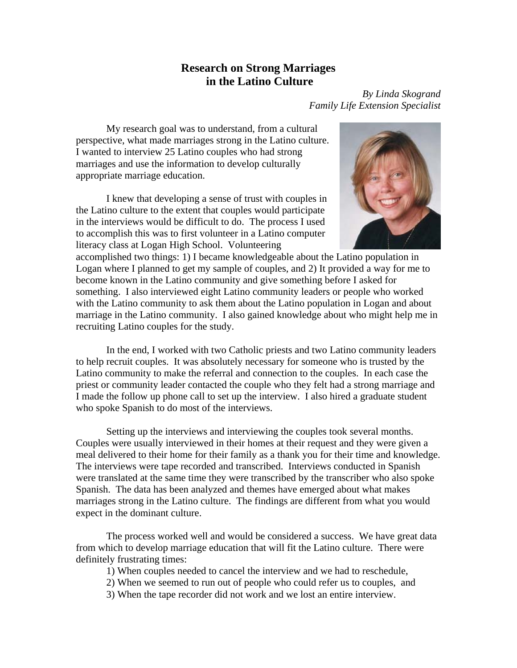## **Research on Strong Marriages in the Latino Culture**

*By Linda Skogrand Family Life Extension Specialist* 

 My research goal was to understand, from a cultural perspective, what made marriages strong in the Latino culture. I wanted to interview 25 Latino couples who had strong marriages and use the information to develop culturally appropriate marriage education.

 I knew that developing a sense of trust with couples in the Latino culture to the extent that couples would participate in the interviews would be difficult to do. The process I used to accomplish this was to first volunteer in a Latino computer literacy class at Logan High School. Volunteering



accomplished two things: 1) I became knowledgeable about the Latino population in Logan where I planned to get my sample of couples, and 2) It provided a way for me to become known in the Latino community and give something before I asked for something. I also interviewed eight Latino community leaders or people who worked with the Latino community to ask them about the Latino population in Logan and about marriage in the Latino community. I also gained knowledge about who might help me in recruiting Latino couples for the study.

 In the end, I worked with two Catholic priests and two Latino community leaders to help recruit couples. It was absolutely necessary for someone who is trusted by the Latino community to make the referral and connection to the couples. In each case the priest or community leader contacted the couple who they felt had a strong marriage and I made the follow up phone call to set up the interview. I also hired a graduate student who spoke Spanish to do most of the interviews.

 Setting up the interviews and interviewing the couples took several months. Couples were usually interviewed in their homes at their request and they were given a meal delivered to their home for their family as a thank you for their time and knowledge. The interviews were tape recorded and transcribed. Interviews conducted in Spanish were translated at the same time they were transcribed by the transcriber who also spoke Spanish. The data has been analyzed and themes have emerged about what makes marriages strong in the Latino culture. The findings are different from what you would expect in the dominant culture.

 The process worked well and would be considered a success. We have great data from which to develop marriage education that will fit the Latino culture. There were definitely frustrating times:

1) When couples needed to cancel the interview and we had to reschedule,

- 2) When we seemed to run out of people who could refer us to couples, and
- 3) When the tape recorder did not work and we lost an entire interview.